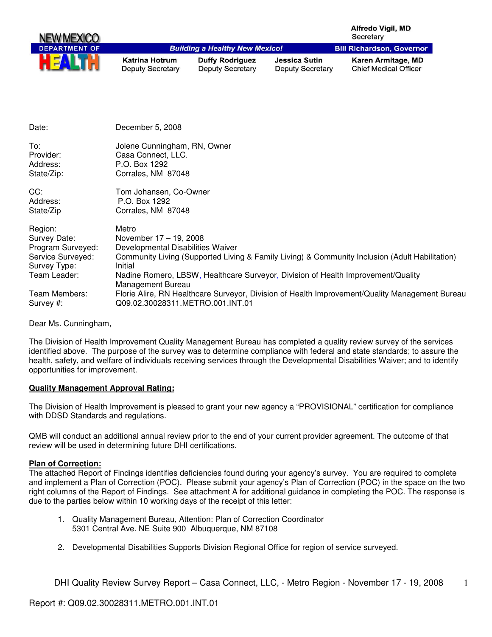| NEW MEXICO                                                                                        |                                                                                                      |                                                   |                                                 | Alfredo Vigil, MD<br>Secretary                                                                                                                                                     |
|---------------------------------------------------------------------------------------------------|------------------------------------------------------------------------------------------------------|---------------------------------------------------|-------------------------------------------------|------------------------------------------------------------------------------------------------------------------------------------------------------------------------------------|
| <b>DEPARTMENT OF</b>                                                                              |                                                                                                      | <b>Building a Healthy New Mexico!</b>             |                                                 | <b>Bill Richardson, Governor</b>                                                                                                                                                   |
|                                                                                                   | <b>Katrina Hotrum</b><br><b>Deputy Secretary</b>                                                     | <b>Duffy Rodriguez</b><br><b>Deputy Secretary</b> | <b>Jessica Sutin</b><br><b>Deputy Secretary</b> | Karen Armitage, MD<br><b>Chief Medical Officer</b>                                                                                                                                 |
|                                                                                                   |                                                                                                      |                                                   |                                                 |                                                                                                                                                                                    |
| Date:                                                                                             | December 5, 2008                                                                                     |                                                   |                                                 |                                                                                                                                                                                    |
| To:<br>Provider:<br>Address:<br>State/Zip:                                                        | Jolene Cunningham, RN, Owner<br>Casa Connect, LLC.<br>P.O. Box 1292<br>Corrales, NM 87048            |                                                   |                                                 |                                                                                                                                                                                    |
| CC:<br>Address:<br>State/Zip                                                                      | Tom Johansen, Co-Owner<br>P.O. Box 1292<br>Corrales, NM 87048                                        |                                                   |                                                 |                                                                                                                                                                                    |
| Region:<br>Survey Date:<br>Program Surveyed:<br>Service Surveyed:<br>Survey Type:<br>Team Leader: | Metro<br>November 17 - 19, 2008<br>Developmental Disabilities Waiver<br>Initial<br>Management Bureau |                                                   |                                                 | Community Living (Supported Living & Family Living) & Community Inclusion (Adult Habilitation)<br>Nadine Romero, LBSW, Healthcare Surveyor, Division of Health Improvement/Quality |
| Team Members:<br>Survey #:                                                                        | Q09.02.30028311.METRO.001.INT.01                                                                     |                                                   |                                                 | Florie Alire, RN Healthcare Surveyor, Division of Health Improvement/Quality Management Bureau                                                                                     |

Dear Ms. Cunningham,

The Division of Health Improvement Quality Management Bureau has completed a quality review survey of the services identified above. The purpose of the survey was to determine compliance with federal and state standards; to assure the health, safety, and welfare of individuals receiving services through the Developmental Disabilities Waiver; and to identify opportunities for improvement.

## **Quality Management Approval Rating:**

The Division of Health Improvement is pleased to grant your new agency a "PROVISIONAL" certification for compliance with DDSD Standards and regulations.

QMB will conduct an additional annual review prior to the end of your current provider agreement. The outcome of that review will be used in determining future DHI certifications.

## **Plan of Correction:**

The attached Report of Findings identifies deficiencies found during your agency's survey. You are required to complete and implement a Plan of Correction (POC). Please submit your agency's Plan of Correction (POC) in the space on the two right columns of the Report of Findings. See attachment A for additional guidance in completing the POC. The response is due to the parties below within 10 working days of the receipt of this letter:

- 1. Quality Management Bureau, Attention: Plan of Correction Coordinator 5301 Central Ave. NE Suite 900 Albuquerque, NM 87108
- 2. Developmental Disabilities Supports Division Regional Office for region of service surveyed.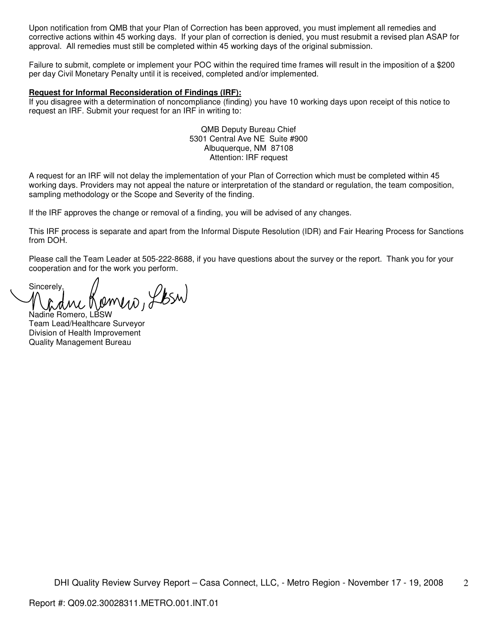Upon notification from QMB that your Plan of Correction has been approved, you must implement all remedies and corrective actions within 45 working days. If your plan of correction is denied, you must resubmit a revised plan ASAP for approval. All remedies must still be completed within 45 working days of the original submission.

Failure to submit, complete or implement your POC within the required time frames will result in the imposition of a \$200 per day Civil Monetary Penalty until it is received, completed and/or implemented.

### **Request for Informal Reconsideration of Findings (IRF):**

If you disagree with a determination of noncompliance (finding) you have 10 working days upon receipt of this notice to request an IRF. Submit your request for an IRF in writing to:

> QMB Deputy Bureau Chief 5301 Central Ave NE Suite #900 Albuquerque, NM 87108 Attention: IRF request

A request for an IRF will not delay the implementation of your Plan of Correction which must be completed within 45 working days. Providers may not appeal the nature or interpretation of the standard or regulation, the team composition, sampling methodology or the Scope and Severity of the finding.

If the IRF approves the change or removal of a finding, you will be advised of any changes.

This IRF process is separate and apart from the Informal Dispute Resolution (IDR) and Fair Hearing Process for Sanctions from DOH.

Please call the Team Leader at 505-222-8688, if you have questions about the survey or the report. Thank you for your cooperation and for the work you perform.

Sincerely, Nadine Komero, Lesw

Team Lead/Healthcare Surveyor Division of Health Improvement Quality Management Bureau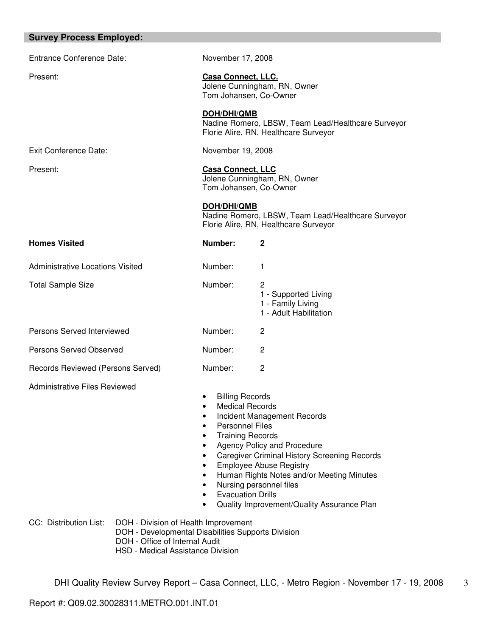| <b>Survey Process Employed:</b>         |                                                                                                                                                                   |                                                                                                                                                                                                                                                                     |                                                                                                                                                                                                                                                                           |
|-----------------------------------------|-------------------------------------------------------------------------------------------------------------------------------------------------------------------|---------------------------------------------------------------------------------------------------------------------------------------------------------------------------------------------------------------------------------------------------------------------|---------------------------------------------------------------------------------------------------------------------------------------------------------------------------------------------------------------------------------------------------------------------------|
| <b>Entrance Conference Date:</b>        |                                                                                                                                                                   | November 17, 2008                                                                                                                                                                                                                                                   |                                                                                                                                                                                                                                                                           |
| Present:                                |                                                                                                                                                                   | <b>Casa Connect, LLC.</b><br>Jolene Cunningham, RN, Owner<br>Tom Johansen, Co-Owner                                                                                                                                                                                 |                                                                                                                                                                                                                                                                           |
|                                         |                                                                                                                                                                   | <b>DOH/DHI/QMB</b>                                                                                                                                                                                                                                                  | Nadine Romero, LBSW, Team Lead/Healthcare Surveyor<br>Florie Alire, RN, Healthcare Surveyor                                                                                                                                                                               |
| Exit Conference Date:                   |                                                                                                                                                                   | November 19, 2008                                                                                                                                                                                                                                                   |                                                                                                                                                                                                                                                                           |
| Present:                                |                                                                                                                                                                   | <b>Casa Connect, LLC</b><br>Tom Johansen, Co-Owner                                                                                                                                                                                                                  | Jolene Cunningham, RN, Owner                                                                                                                                                                                                                                              |
|                                         |                                                                                                                                                                   | <b>DOH/DHI/QMB</b>                                                                                                                                                                                                                                                  | Nadine Romero, LBSW, Team Lead/Healthcare Surveyor<br>Florie Alire, RN, Healthcare Surveyor                                                                                                                                                                               |
| <b>Homes Visited</b>                    |                                                                                                                                                                   | Number:                                                                                                                                                                                                                                                             | $\mathbf{2}$                                                                                                                                                                                                                                                              |
| <b>Administrative Locations Visited</b> |                                                                                                                                                                   | Number:                                                                                                                                                                                                                                                             | 1                                                                                                                                                                                                                                                                         |
| <b>Total Sample Size</b>                |                                                                                                                                                                   | Number:                                                                                                                                                                                                                                                             | 2<br>1 - Supported Living<br>1 - Family Living<br>1 - Adult Habilitation                                                                                                                                                                                                  |
| Persons Served Interviewed              |                                                                                                                                                                   | Number:                                                                                                                                                                                                                                                             | $\mathbf{2}$                                                                                                                                                                                                                                                              |
| Persons Served Observed                 |                                                                                                                                                                   | Number:                                                                                                                                                                                                                                                             | 2                                                                                                                                                                                                                                                                         |
| Records Reviewed (Persons Served)       |                                                                                                                                                                   | Number:                                                                                                                                                                                                                                                             | $\overline{c}$                                                                                                                                                                                                                                                            |
| <b>Administrative Files Reviewed</b>    |                                                                                                                                                                   | <b>Billing Records</b><br><b>Medical Records</b><br>$\bullet$<br><b>Personnel Files</b><br>$\bullet$<br><b>Training Records</b><br>$\bullet$<br>$\bullet$<br>$\bullet$<br>$\bullet$<br>$\bullet$<br>$\bullet$<br><b>Evacuation Drills</b><br>$\bullet$<br>$\bullet$ | Incident Management Records<br>Agency Policy and Procedure<br><b>Caregiver Criminal History Screening Records</b><br><b>Employee Abuse Registry</b><br>Human Rights Notes and/or Meeting Minutes<br>Nursing personnel files<br>Quality Improvement/Quality Assurance Plan |
| CC: Distribution List:                  | DOH - Division of Health Improvement<br>DOH - Developmental Disabilities Supports Division<br>DOH - Office of Internal Audit<br>HSD - Medical Assistance Division |                                                                                                                                                                                                                                                                     |                                                                                                                                                                                                                                                                           |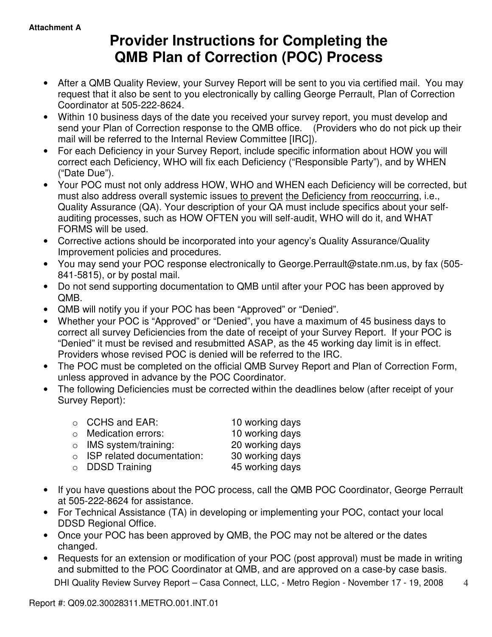# **Provider Instructions for Completing the QMB Plan of Correction (POC) Process**

- After a QMB Quality Review, your Survey Report will be sent to you via certified mail. You may request that it also be sent to you electronically by calling George Perrault, Plan of Correction Coordinator at 505-222-8624.
- Within 10 business days of the date you received your survey report, you must develop and send your Plan of Correction response to the QMB office. (Providers who do not pick up their mail will be referred to the Internal Review Committee [IRC]).
- For each Deficiency in your Survey Report, include specific information about HOW you will correct each Deficiency, WHO will fix each Deficiency ("Responsible Party"), and by WHEN ("Date Due").
- Your POC must not only address HOW, WHO and WHEN each Deficiency will be corrected, but must also address overall systemic issues to prevent the Deficiency from reoccurring, i.e., Quality Assurance (QA). Your description of your QA must include specifics about your selfauditing processes, such as HOW OFTEN you will self-audit, WHO will do it, and WHAT FORMS will be used.
- Corrective actions should be incorporated into your agency's Quality Assurance/Quality Improvement policies and procedures.
- You may send your POC response electronically to George.Perrault@state.nm.us, by fax (505- 841-5815), or by postal mail.
- Do not send supporting documentation to QMB until after your POC has been approved by QMB.
- QMB will notify you if your POC has been "Approved" or "Denied".
- Whether your POC is "Approved" or "Denied", you have a maximum of 45 business days to correct all survey Deficiencies from the date of receipt of your Survey Report. If your POC is "Denied" it must be revised and resubmitted ASAP, as the 45 working day limit is in effect. Providers whose revised POC is denied will be referred to the IRC.
- The POC must be completed on the official QMB Survey Report and Plan of Correction Form, unless approved in advance by the POC Coordinator.
- The following Deficiencies must be corrected within the deadlines below (after receipt of your Survey Report):

| $\circ$ CCHS and EAR:              | 10 working days |
|------------------------------------|-----------------|
| $\circ$ Medication errors:         | 10 working days |
| $\circ$ IMS system/training:       | 20 working days |
| $\circ$ ISP related documentation: | 30 working days |
| $\circ$ DDSD Training              | 45 working days |
|                                    |                 |

- If you have questions about the POC process, call the QMB POC Coordinator, George Perrault at 505-222-8624 for assistance.
- For Technical Assistance (TA) in developing or implementing your POC, contact your local DDSD Regional Office.
- Once your POC has been approved by QMB, the POC may not be altered or the dates changed.
- Requests for an extension or modification of your POC (post approval) must be made in writing and submitted to the POC Coordinator at QMB, and are approved on a case-by case basis.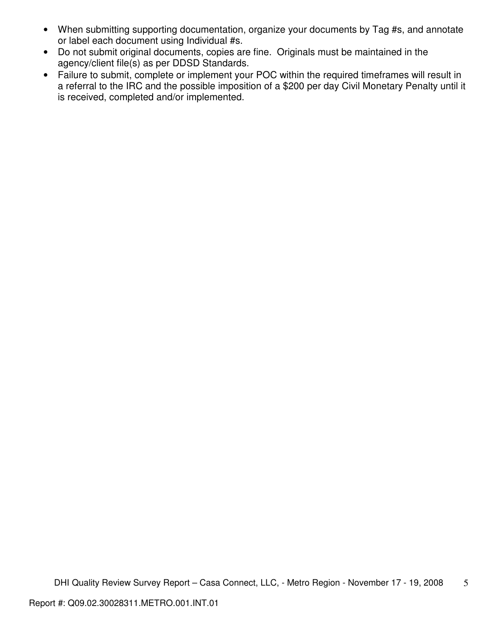- When submitting supporting documentation, organize your documents by Tag #s, and annotate or label each document using Individual #s.
- Do not submit original documents, copies are fine. Originals must be maintained in the agency/client file(s) as per DDSD Standards.
- Failure to submit, complete or implement your POC within the required timeframes will result in a referral to the IRC and the possible imposition of a \$200 per day Civil Monetary Penalty until it is received, completed and/or implemented.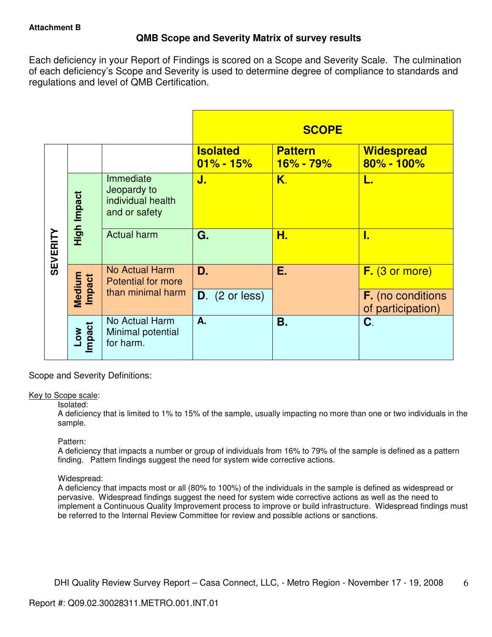# **QMB Scope and Severity Matrix of survey results**

Each deficiency in your Report of Findings is scored on a Scope and Severity Scale. The culmination of each deficiency's Scope and Severity is used to determine degree of compliance to standards and regulations and level of QMB Certification.

|                 |                  |                                                                |                                  | <b>SCOPE</b>                |                                               |
|-----------------|------------------|----------------------------------------------------------------|----------------------------------|-----------------------------|-----------------------------------------------|
|                 |                  |                                                                | <b>Isolated</b><br>$01\% - 15\%$ | <b>Pattern</b><br>16% - 79% | <b>Widespread</b><br>80% - 100%               |
| <b>SEVERITY</b> | High Impact      | Immediate<br>Jeopardy to<br>individual health<br>and or safety | J.                               | K.                          | L.                                            |
|                 |                  | <b>Actual harm</b>                                             | G.                               | Н.                          | I.                                            |
|                 |                  | No Actual Harm<br><b>Potential for more</b>                    | D.                               | Ε.                          | $F.$ (3 or more)                              |
|                 | Medium<br>Impact | than minimal harm                                              | $D.$ (2 or less)                 |                             | <b>F.</b> (no conditions<br>of participation) |
|                 | Low<br>Impact    | No Actual Harm<br>Minimal potential<br>for harm.               | A.                               | Β.                          | C.                                            |

Scope and Severity Definitions:

## Key to Scope scale:

## Isolated:

A deficiency that is limited to 1% to 15% of the sample, usually impacting no more than one or two individuals in the sample.

## Pattern:

A deficiency that impacts a number or group of individuals from 16% to 79% of the sample is defined as a pattern finding. Pattern findings suggest the need for system wide corrective actions.

# Widespread:

A deficiency that impacts most or all (80% to 100%) of the individuals in the sample is defined as widespread or pervasive. Widespread findings suggest the need for system wide corrective actions as well as the need to implement a Continuous Quality Improvement process to improve or build infrastructure. Widespread findings must be referred to the Internal Review Committee for review and possible actions or sanctions.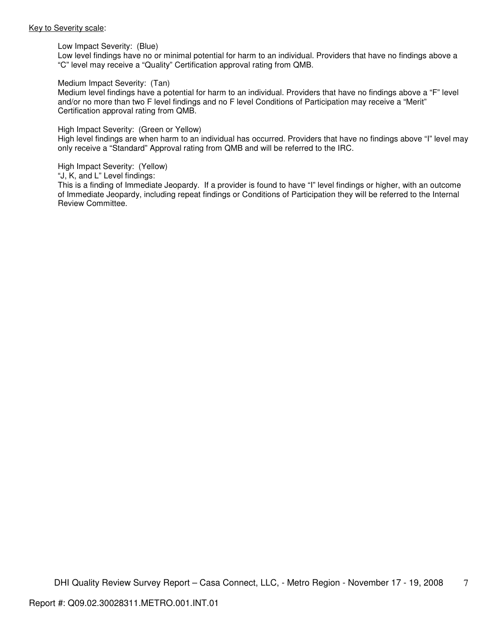#### Key to Severity scale:

Low Impact Severity: (Blue)

Low level findings have no or minimal potential for harm to an individual. Providers that have no findings above a "C" level may receive a "Quality" Certification approval rating from QMB.

#### Medium Impact Severity: (Tan)

Medium level findings have a potential for harm to an individual. Providers that have no findings above a "F" level and/or no more than two F level findings and no F level Conditions of Participation may receive a "Merit" Certification approval rating from QMB.

#### High Impact Severity: (Green or Yellow)

High level findings are when harm to an individual has occurred. Providers that have no findings above "I" level may only receive a "Standard" Approval rating from QMB and will be referred to the IRC.

#### High Impact Severity: (Yellow)

"J, K, and L" Level findings:

This is a finding of Immediate Jeopardy. If a provider is found to have "I" level findings or higher, with an outcome of Immediate Jeopardy, including repeat findings or Conditions of Participation they will be referred to the Internal Review Committee.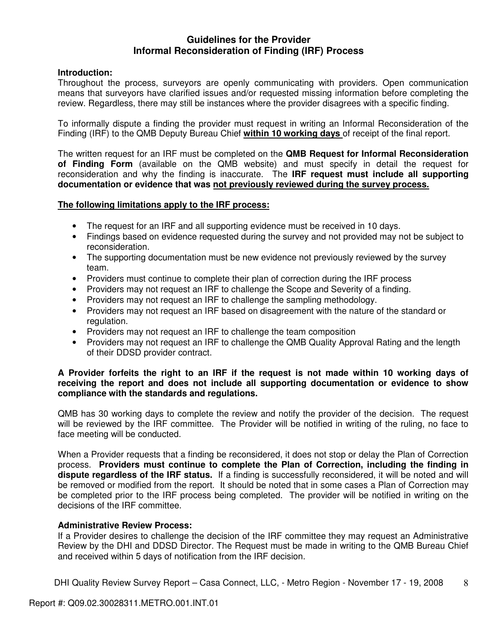# **Guidelines for the Provider Informal Reconsideration of Finding (IRF) Process**

# **Introduction:**

Throughout the process, surveyors are openly communicating with providers. Open communication means that surveyors have clarified issues and/or requested missing information before completing the review. Regardless, there may still be instances where the provider disagrees with a specific finding.

To informally dispute a finding the provider must request in writing an Informal Reconsideration of the Finding (IRF) to the QMB Deputy Bureau Chief **within 10 working days** of receipt of the final report.

The written request for an IRF must be completed on the **QMB Request for Informal Reconsideration of Finding Form** (available on the QMB website) and must specify in detail the request for reconsideration and why the finding is inaccurate. The **IRF request must include all supporting documentation or evidence that was not previously reviewed during the survey process.** 

# **The following limitations apply to the IRF process:**

- The request for an IRF and all supporting evidence must be received in 10 days.
- Findings based on evidence requested during the survey and not provided may not be subject to reconsideration.
- The supporting documentation must be new evidence not previously reviewed by the survey team.
- Providers must continue to complete their plan of correction during the IRF process
- Providers may not request an IRF to challenge the Scope and Severity of a finding.
- Providers may not request an IRF to challenge the sampling methodology.
- Providers may not request an IRF based on disagreement with the nature of the standard or regulation.
- Providers may not request an IRF to challenge the team composition
- Providers may not request an IRF to challenge the QMB Quality Approval Rating and the length of their DDSD provider contract.

# **A Provider forfeits the right to an IRF if the request is not made within 10 working days of receiving the report and does not include all supporting documentation or evidence to show compliance with the standards and regulations.**

QMB has 30 working days to complete the review and notify the provider of the decision. The request will be reviewed by the IRF committee. The Provider will be notified in writing of the ruling, no face to face meeting will be conducted.

When a Provider requests that a finding be reconsidered, it does not stop or delay the Plan of Correction process. **Providers must continue to complete the Plan of Correction, including the finding in dispute regardless of the IRF status.** If a finding is successfully reconsidered, it will be noted and will be removed or modified from the report. It should be noted that in some cases a Plan of Correction may be completed prior to the IRF process being completed. The provider will be notified in writing on the decisions of the IRF committee.

# **Administrative Review Process:**

If a Provider desires to challenge the decision of the IRF committee they may request an Administrative Review by the DHI and DDSD Director. The Request must be made in writing to the QMB Bureau Chief and received within 5 days of notification from the IRF decision.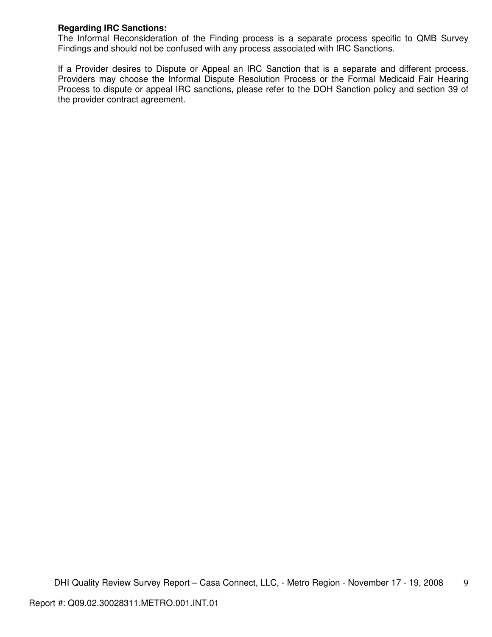# **Regarding IRC Sanctions:**

The Informal Reconsideration of the Finding process is a separate process specific to QMB Survey Findings and should not be confused with any process associated with IRC Sanctions.

If a Provider desires to Dispute or Appeal an IRC Sanction that is a separate and different process. Providers may choose the Informal Dispute Resolution Process or the Formal Medicaid Fair Hearing Process to dispute or appeal IRC sanctions, please refer to the DOH Sanction policy and section 39 of the provider contract agreement.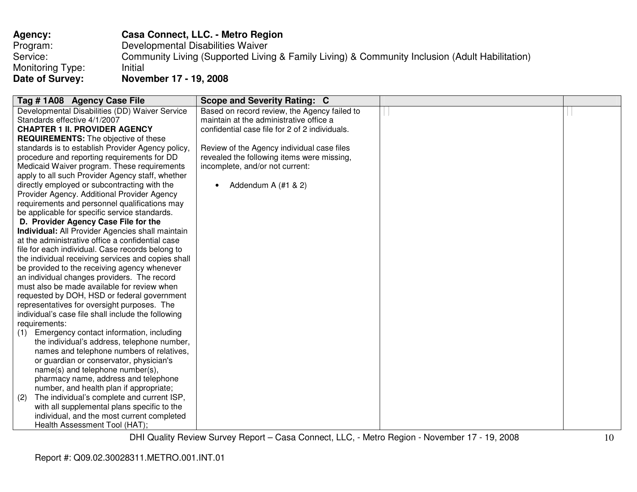| <b>Agency:</b>   | Casa Connect, LLC. - Metro Region                                                              |
|------------------|------------------------------------------------------------------------------------------------|
| Program:         | Developmental Disabilities Waiver                                                              |
| Service:         | Community Living (Supported Living & Family Living) & Community Inclusion (Adult Habilitation) |
| Monitoring Type: | Initial                                                                                        |
| Date of Survey:  | November 17 - 19, 2008                                                                         |

| Tag #1A08 Agency Case File                         | <b>Scope and Severity Rating: C</b>            |  |
|----------------------------------------------------|------------------------------------------------|--|
| Developmental Disabilities (DD) Waiver Service     | Based on record review, the Agency failed to   |  |
| Standards effective 4/1/2007                       | maintain at the administrative office a        |  |
| <b>CHAPTER 1 II. PROVIDER AGENCY</b>               | confidential case file for 2 of 2 individuals. |  |
| <b>REQUIREMENTS:</b> The objective of these        |                                                |  |
| standards is to establish Provider Agency policy,  | Review of the Agency individual case files     |  |
| procedure and reporting requirements for DD        | revealed the following items were missing,     |  |
| Medicaid Waiver program. These requirements        | incomplete, and/or not current:                |  |
| apply to all such Provider Agency staff, whether   |                                                |  |
| directly employed or subcontracting with the       | Addendum A (#1 & 2)                            |  |
| Provider Agency. Additional Provider Agency        |                                                |  |
| requirements and personnel qualifications may      |                                                |  |
| be applicable for specific service standards.      |                                                |  |
| D. Provider Agency Case File for the               |                                                |  |
| Individual: All Provider Agencies shall maintain   |                                                |  |
| at the administrative office a confidential case   |                                                |  |
| file for each individual. Case records belong to   |                                                |  |
| the individual receiving services and copies shall |                                                |  |
| be provided to the receiving agency whenever       |                                                |  |
| an individual changes providers. The record        |                                                |  |
| must also be made available for review when        |                                                |  |
| requested by DOH, HSD or federal government        |                                                |  |
| representatives for oversight purposes. The        |                                                |  |
| individual's case file shall include the following |                                                |  |
| requirements:                                      |                                                |  |
| Emergency contact information, including<br>(1)    |                                                |  |
| the individual's address, telephone number,        |                                                |  |
| names and telephone numbers of relatives,          |                                                |  |
| or guardian or conservator, physician's            |                                                |  |
| name(s) and telephone number(s),                   |                                                |  |
| pharmacy name, address and telephone               |                                                |  |
| number, and health plan if appropriate;            |                                                |  |
| The individual's complete and current ISP,<br>(2)  |                                                |  |
| with all supplemental plans specific to the        |                                                |  |
| individual, and the most current completed         |                                                |  |
| Health Assessment Tool (HAT);                      |                                                |  |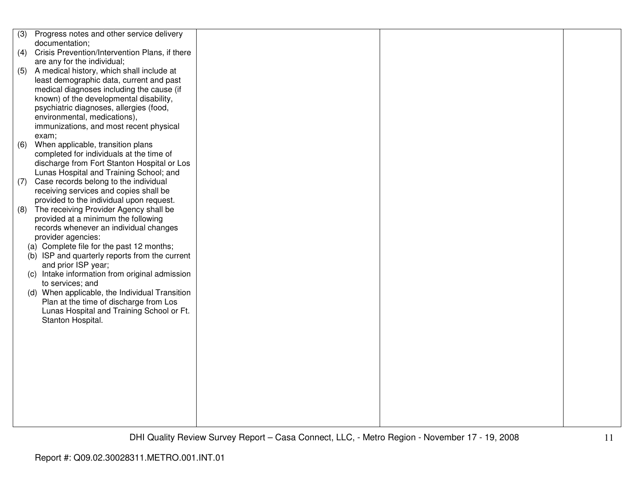| (3) | Progress notes and other service delivery      |  |  |
|-----|------------------------------------------------|--|--|
|     | documentation;                                 |  |  |
| (4) | Crisis Prevention/Intervention Plans, if there |  |  |
|     | are any for the individual;                    |  |  |
| (5) | A medical history, which shall include at      |  |  |
|     | least demographic data, current and past       |  |  |
|     | medical diagnoses including the cause (if      |  |  |
|     | known) of the developmental disability,        |  |  |
|     | psychiatric diagnoses, allergies (food,        |  |  |
|     | environmental, medications),                   |  |  |
|     | immunizations, and most recent physical        |  |  |
|     | exam;                                          |  |  |
| (6) | When applicable, transition plans              |  |  |
|     | completed for individuals at the time of       |  |  |
|     | discharge from Fort Stanton Hospital or Los    |  |  |
|     | Lunas Hospital and Training School; and        |  |  |
| (7) | Case records belong to the individual          |  |  |
|     | receiving services and copies shall be         |  |  |
|     | provided to the individual upon request.       |  |  |
| (8) | The receiving Provider Agency shall be         |  |  |
|     | provided at a minimum the following            |  |  |
|     | records whenever an individual changes         |  |  |
|     | provider agencies:                             |  |  |
|     | (a) Complete file for the past 12 months;      |  |  |
|     | (b) ISP and quarterly reports from the current |  |  |
|     | and prior ISP year;                            |  |  |
|     | (c) Intake information from original admission |  |  |
|     | to services; and                               |  |  |
|     | (d) When applicable, the Individual Transition |  |  |
|     | Plan at the time of discharge from Los         |  |  |
|     |                                                |  |  |
|     | Lunas Hospital and Training School or Ft.      |  |  |
|     | Stanton Hospital.                              |  |  |
|     |                                                |  |  |
|     |                                                |  |  |
|     |                                                |  |  |
|     |                                                |  |  |
|     |                                                |  |  |
|     |                                                |  |  |
|     |                                                |  |  |
|     |                                                |  |  |
|     |                                                |  |  |
|     |                                                |  |  |
|     |                                                |  |  |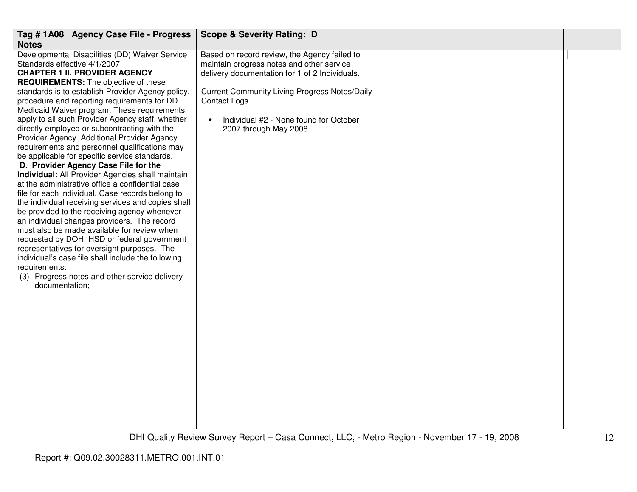| Tag # 1A08 Agency Case File - Progress                                                                                                                                                                                                                                                                                                                                                                                                                                                                                                                                                                                                                                                                                                                                                                                                                                                                                                                                                                                                                                                                                                                                                                                        | <b>Scope &amp; Severity Rating: D</b>                                                                                                                                                                                                                                                                       |  |
|-------------------------------------------------------------------------------------------------------------------------------------------------------------------------------------------------------------------------------------------------------------------------------------------------------------------------------------------------------------------------------------------------------------------------------------------------------------------------------------------------------------------------------------------------------------------------------------------------------------------------------------------------------------------------------------------------------------------------------------------------------------------------------------------------------------------------------------------------------------------------------------------------------------------------------------------------------------------------------------------------------------------------------------------------------------------------------------------------------------------------------------------------------------------------------------------------------------------------------|-------------------------------------------------------------------------------------------------------------------------------------------------------------------------------------------------------------------------------------------------------------------------------------------------------------|--|
| <b>Notes</b>                                                                                                                                                                                                                                                                                                                                                                                                                                                                                                                                                                                                                                                                                                                                                                                                                                                                                                                                                                                                                                                                                                                                                                                                                  |                                                                                                                                                                                                                                                                                                             |  |
| Developmental Disabilities (DD) Waiver Service<br>Standards effective 4/1/2007<br><b>CHAPTER 1 II. PROVIDER AGENCY</b><br><b>REQUIREMENTS:</b> The objective of these<br>standards is to establish Provider Agency policy,<br>procedure and reporting requirements for DD<br>Medicaid Waiver program. These requirements<br>apply to all such Provider Agency staff, whether<br>directly employed or subcontracting with the<br>Provider Agency. Additional Provider Agency<br>requirements and personnel qualifications may<br>be applicable for specific service standards.<br>D. Provider Agency Case File for the<br>Individual: All Provider Agencies shall maintain<br>at the administrative office a confidential case<br>file for each individual. Case records belong to<br>the individual receiving services and copies shall<br>be provided to the receiving agency whenever<br>an individual changes providers. The record<br>must also be made available for review when<br>requested by DOH, HSD or federal government<br>representatives for oversight purposes. The<br>individual's case file shall include the following<br>requirements:<br>(3) Progress notes and other service delivery<br>documentation; | Based on record review, the Agency failed to<br>maintain progress notes and other service<br>delivery documentation for 1 of 2 Individuals.<br><b>Current Community Living Progress Notes/Daily</b><br><b>Contact Logs</b><br>Individual #2 - None found for October<br>$\bullet$<br>2007 through May 2008. |  |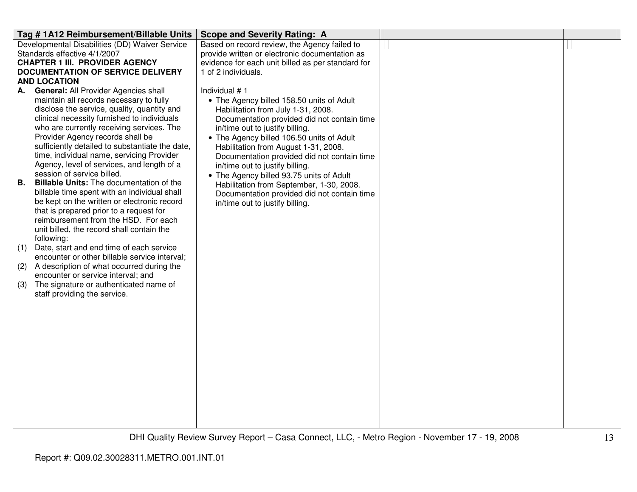| Tag #1A12 Reimbursement/Billable Units                                                 | <b>Scope and Severity Rating: A</b>               |  |
|----------------------------------------------------------------------------------------|---------------------------------------------------|--|
| Developmental Disabilities (DD) Waiver Service                                         | Based on record review, the Agency failed to      |  |
| Standards effective 4/1/2007                                                           | provide written or electronic documentation as    |  |
| <b>CHAPTER 1 III. PROVIDER AGENCY</b>                                                  | evidence for each unit billed as per standard for |  |
| <b>DOCUMENTATION OF SERVICE DELIVERY</b>                                               | 1 of 2 individuals.                               |  |
| <b>AND LOCATION</b>                                                                    |                                                   |  |
| <b>General: All Provider Agencies shall</b><br>А.                                      | Individual #1                                     |  |
| maintain all records necessary to fully                                                | • The Agency billed 158.50 units of Adult         |  |
| disclose the service, quality, quantity and                                            | Habilitation from July 1-31, 2008.                |  |
| clinical necessity furnished to individuals                                            | Documentation provided did not contain time       |  |
| who are currently receiving services. The                                              | in/time out to justify billing.                   |  |
| Provider Agency records shall be                                                       | • The Agency billed 106.50 units of Adult         |  |
| sufficiently detailed to substantiate the date,                                        | Habilitation from August 1-31, 2008.              |  |
| time, individual name, servicing Provider                                              | Documentation provided did not contain time       |  |
| Agency, level of services, and length of a                                             | in/time out to justify billing.                   |  |
| session of service billed.                                                             | • The Agency billed 93.75 units of Adult          |  |
| <b>Billable Units:</b> The documentation of the<br>В.                                  | Habilitation from September, 1-30, 2008.          |  |
| billable time spent with an individual shall                                           | Documentation provided did not contain time       |  |
| be kept on the written or electronic record<br>that is prepared prior to a request for | in/time out to justify billing.                   |  |
| reimbursement from the HSD. For each                                                   |                                                   |  |
| unit billed, the record shall contain the                                              |                                                   |  |
| following:                                                                             |                                                   |  |
| Date, start and end time of each service<br>(1)                                        |                                                   |  |
| encounter or other billable service interval;                                          |                                                   |  |
| A description of what occurred during the<br>(2)                                       |                                                   |  |
| encounter or service interval; and                                                     |                                                   |  |
| The signature or authenticated name of<br>(3)                                          |                                                   |  |
| staff providing the service.                                                           |                                                   |  |
|                                                                                        |                                                   |  |
|                                                                                        |                                                   |  |
|                                                                                        |                                                   |  |
|                                                                                        |                                                   |  |
|                                                                                        |                                                   |  |
|                                                                                        |                                                   |  |
|                                                                                        |                                                   |  |
|                                                                                        |                                                   |  |
|                                                                                        |                                                   |  |
|                                                                                        |                                                   |  |
|                                                                                        |                                                   |  |
|                                                                                        |                                                   |  |
|                                                                                        |                                                   |  |
|                                                                                        |                                                   |  |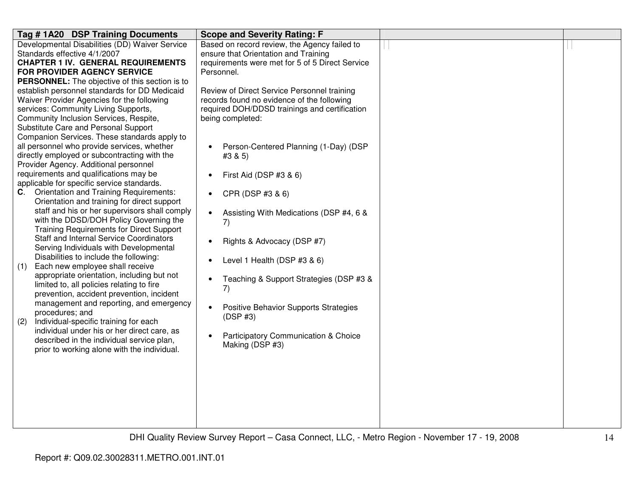| Tag #1A20 DSP Training Documents                                                        | <b>Scope and Severity Rating: F</b>                  |  |
|-----------------------------------------------------------------------------------------|------------------------------------------------------|--|
| Developmental Disabilities (DD) Waiver Service                                          | Based on record review, the Agency failed to         |  |
| Standards effective 4/1/2007                                                            | ensure that Orientation and Training                 |  |
| <b>CHAPTER 1 IV. GENERAL REQUIREMENTS</b>                                               | requirements were met for 5 of 5 Direct Service      |  |
| FOR PROVIDER AGENCY SERVICE                                                             | Personnel.                                           |  |
| <b>PERSONNEL:</b> The objective of this section is to                                   |                                                      |  |
| establish personnel standards for DD Medicaid                                           | Review of Direct Service Personnel training          |  |
| Waiver Provider Agencies for the following                                              | records found no evidence of the following           |  |
| services: Community Living Supports,                                                    | required DOH/DDSD trainings and certification        |  |
| Community Inclusion Services, Respite,                                                  | being completed:                                     |  |
| Substitute Care and Personal Support                                                    |                                                      |  |
| Companion Services. These standards apply to                                            |                                                      |  |
| all personnel who provide services, whether                                             | Person-Centered Planning (1-Day) (DSP                |  |
| directly employed or subcontracting with the                                            | #3 & 5)                                              |  |
| Provider Agency. Additional personnel                                                   |                                                      |  |
| requirements and qualifications may be                                                  | First Aid (DSP #3 & 6)<br>$\bullet$                  |  |
| applicable for specific service standards.                                              |                                                      |  |
| <b>Orientation and Training Requirements:</b><br>C.                                     | CPR (DSP #3 & 6)<br>$\bullet$                        |  |
| Orientation and training for direct support                                             |                                                      |  |
| staff and his or her supervisors shall comply<br>with the DDSD/DOH Policy Governing the | Assisting With Medications (DSP #4, 6 &<br>$\bullet$ |  |
| <b>Training Requirements for Direct Support</b>                                         | 7)                                                   |  |
| <b>Staff and Internal Service Coordinators</b>                                          |                                                      |  |
| Serving Individuals with Developmental                                                  | Rights & Advocacy (DSP #7)<br>$\bullet$              |  |
| Disabilities to include the following:                                                  |                                                      |  |
| Each new employee shall receive<br>(1)                                                  | Level 1 Health (DSP #3 & 6)<br>$\bullet$             |  |
| appropriate orientation, including but not                                              |                                                      |  |
| limited to, all policies relating to fire                                               | Teaching & Support Strategies (DSP #3 &<br>$\bullet$ |  |
| prevention, accident prevention, incident                                               | 7)                                                   |  |
| management and reporting, and emergency                                                 |                                                      |  |
| procedures; and                                                                         | Positive Behavior Supports Strategies<br>$\bullet$   |  |
| Individual-specific training for each<br>(2)                                            | (DSP#3)                                              |  |
| individual under his or her direct care, as                                             |                                                      |  |
| described in the individual service plan,                                               | Participatory Communication & Choice<br>$\bullet$    |  |
| prior to working alone with the individual.                                             | Making (DSP #3)                                      |  |
|                                                                                         |                                                      |  |
|                                                                                         |                                                      |  |
|                                                                                         |                                                      |  |
|                                                                                         |                                                      |  |
|                                                                                         |                                                      |  |
|                                                                                         |                                                      |  |
|                                                                                         |                                                      |  |
|                                                                                         |                                                      |  |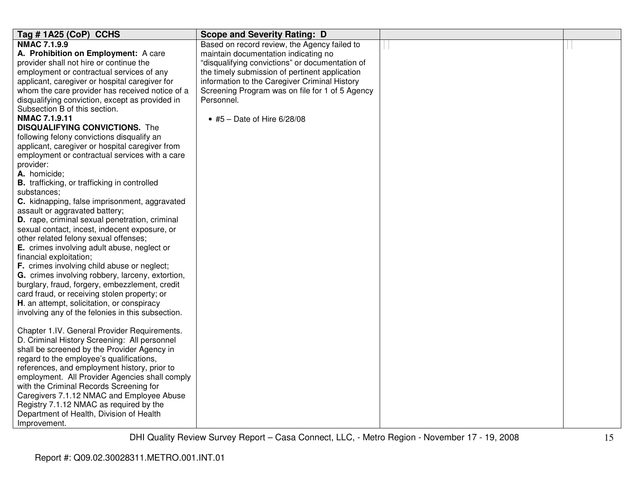| Tag #1A25 (CoP) CCHS                                | <b>Scope and Severity Rating: D</b>             |  |
|-----------------------------------------------------|-------------------------------------------------|--|
| <b>NMAC 7.1.9.9</b>                                 | Based on record review, the Agency failed to    |  |
| A. Prohibition on Employment: A care                | maintain documentation indicating no            |  |
| provider shall not hire or continue the             | "disqualifying convictions" or documentation of |  |
| employment or contractual services of any           | the timely submission of pertinent application  |  |
| applicant, caregiver or hospital caregiver for      | information to the Caregiver Criminal History   |  |
| whom the care provider has received notice of a     | Screening Program was on file for 1 of 5 Agency |  |
| disqualifying conviction, except as provided in     | Personnel.                                      |  |
| Subsection B of this section.                       |                                                 |  |
| <b>NMAC 7.1.9.11</b>                                | • #5 – Date of Hire $6/28/08$                   |  |
| <b>DISQUALIFYING CONVICTIONS.</b> The               |                                                 |  |
| following felony convictions disqualify an          |                                                 |  |
| applicant, caregiver or hospital caregiver from     |                                                 |  |
| employment or contractual services with a care      |                                                 |  |
| provider:                                           |                                                 |  |
| A. homicide;                                        |                                                 |  |
| <b>B.</b> trafficking, or trafficking in controlled |                                                 |  |
| substances;                                         |                                                 |  |
| C. kidnapping, false imprisonment, aggravated       |                                                 |  |
| assault or aggravated battery;                      |                                                 |  |
| D. rape, criminal sexual penetration, criminal      |                                                 |  |
| sexual contact, incest, indecent exposure, or       |                                                 |  |
| other related felony sexual offenses;               |                                                 |  |
| E. crimes involving adult abuse, neglect or         |                                                 |  |
| financial exploitation;                             |                                                 |  |
| F. crimes involving child abuse or neglect;         |                                                 |  |
| G. crimes involving robbery, larceny, extortion,    |                                                 |  |
| burglary, fraud, forgery, embezzlement, credit      |                                                 |  |
| card fraud, or receiving stolen property; or        |                                                 |  |
| H. an attempt, solicitation, or conspiracy          |                                                 |  |
| involving any of the felonies in this subsection.   |                                                 |  |
|                                                     |                                                 |  |
| Chapter 1.IV. General Provider Requirements.        |                                                 |  |
| D. Criminal History Screening: All personnel        |                                                 |  |
| shall be screened by the Provider Agency in         |                                                 |  |
| regard to the employee's qualifications,            |                                                 |  |
| references, and employment history, prior to        |                                                 |  |
| employment. All Provider Agencies shall comply      |                                                 |  |
| with the Criminal Records Screening for             |                                                 |  |
| Caregivers 7.1.12 NMAC and Employee Abuse           |                                                 |  |
| Registry 7.1.12 NMAC as required by the             |                                                 |  |
| Department of Health, Division of Health            |                                                 |  |
| Improvement.                                        |                                                 |  |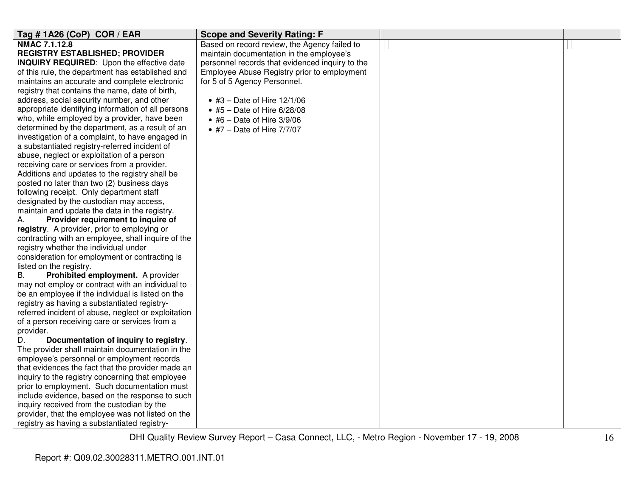| Tag # 1A26 (CoP) COR / EAR                          | <b>Scope and Severity Rating: F</b>             |  |
|-----------------------------------------------------|-------------------------------------------------|--|
| NMAC 7.1.12.8                                       | Based on record review, the Agency failed to    |  |
| <b>REGISTRY ESTABLISHED; PROVIDER</b>               | maintain documentation in the employee's        |  |
| <b>INQUIRY REQUIRED:</b> Upon the effective date    | personnel records that evidenced inquiry to the |  |
| of this rule, the department has established and    | Employee Abuse Registry prior to employment     |  |
| maintains an accurate and complete electronic       | for 5 of 5 Agency Personnel.                    |  |
| registry that contains the name, date of birth,     |                                                 |  |
| address, social security number, and other          | • #3 – Date of Hire $12/1/06$                   |  |
| appropriate identifying information of all persons  | $\bullet$ #5 - Date of Hire 6/28/08             |  |
| who, while employed by a provider, have been        | $\bullet$ #6 - Date of Hire 3/9/06              |  |
| determined by the department, as a result of an     | $\bullet$ #7 - Date of Hire 7/7/07              |  |
| investigation of a complaint, to have engaged in    |                                                 |  |
| a substantiated registry-referred incident of       |                                                 |  |
| abuse, neglect or exploitation of a person          |                                                 |  |
| receiving care or services from a provider.         |                                                 |  |
| Additions and updates to the registry shall be      |                                                 |  |
| posted no later than two (2) business days          |                                                 |  |
| following receipt. Only department staff            |                                                 |  |
| designated by the custodian may access,             |                                                 |  |
| maintain and update the data in the registry.       |                                                 |  |
| Provider requirement to inquire of<br>А.            |                                                 |  |
| registry. A provider, prior to employing or         |                                                 |  |
| contracting with an employee, shall inquire of the  |                                                 |  |
| registry whether the individual under               |                                                 |  |
| consideration for employment or contracting is      |                                                 |  |
| listed on the registry.                             |                                                 |  |
| <b>B.</b><br>Prohibited employment. A provider      |                                                 |  |
| may not employ or contract with an individual to    |                                                 |  |
| be an employee if the individual is listed on the   |                                                 |  |
| registry as having a substantiated registry-        |                                                 |  |
| referred incident of abuse, neglect or exploitation |                                                 |  |
| of a person receiving care or services from a       |                                                 |  |
| provider.                                           |                                                 |  |
| Documentation of inquiry to registry.<br>D.         |                                                 |  |
| The provider shall maintain documentation in the    |                                                 |  |
| employee's personnel or employment records          |                                                 |  |
| that evidences the fact that the provider made an   |                                                 |  |
| inquiry to the registry concerning that employee    |                                                 |  |
| prior to employment. Such documentation must        |                                                 |  |
| include evidence, based on the response to such     |                                                 |  |
| inquiry received from the custodian by the          |                                                 |  |
| provider, that the employee was not listed on the   |                                                 |  |
| registry as having a substantiated registry-        |                                                 |  |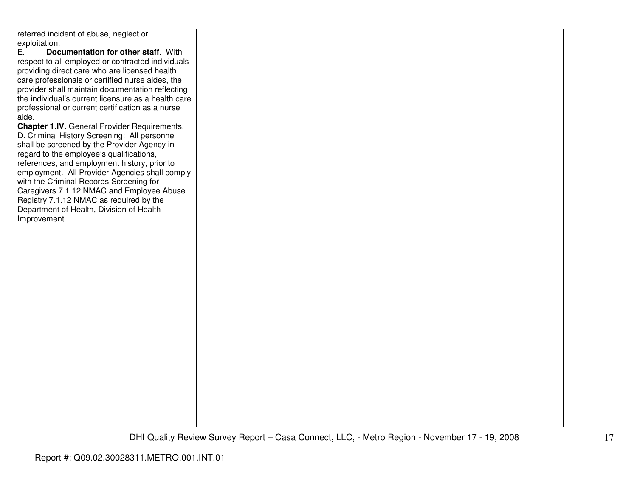referred incident of abuse, neglect or exploitation.<br>E. Doc E. **Documentation for other staff**. With respect to all employed or contracted individuals providing direct care who are licensed health care professionals or certified nurse aides, the provider shall maintain documentation reflecting the individual's current licensure as a health careprofessional or current certification as a nurse aide. **Chapter 1.IV.** General Provider Requirements. D. Criminal History Screening: All personnel shall be screened by the Provider Agency in regard to the employee's qualifications, references, and employment history, prior to employment. All Provider Agencies shall comply with the Criminal Records Screening for Caregivers 7.1.12 NMAC and Employee Abuse Registry 7.1.12 NMAC as required by the Department of Health, Division of Health Improvement.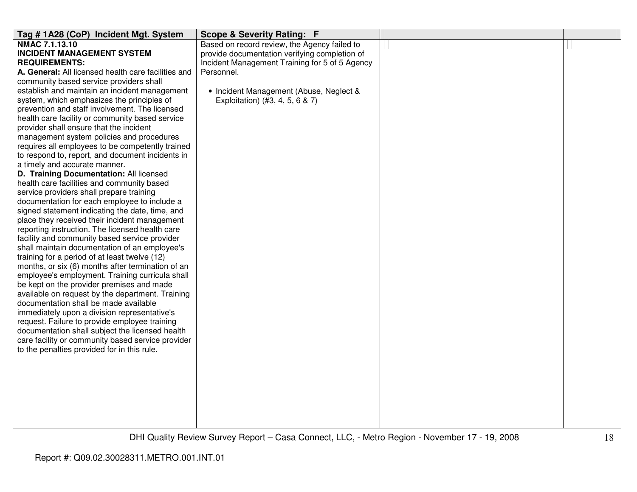| Tag #1A28 (CoP) Incident Mgt. System                                                         | Scope & Severity Rating: F                     |  |
|----------------------------------------------------------------------------------------------|------------------------------------------------|--|
| NMAC 7.1.13.10                                                                               | Based on record review, the Agency failed to   |  |
| <b>INCIDENT MANAGEMENT SYSTEM</b>                                                            | provide documentation verifying completion of  |  |
| <b>REQUIREMENTS:</b>                                                                         | Incident Management Training for 5 of 5 Agency |  |
| A. General: All licensed health care facilities and                                          | Personnel.                                     |  |
| community based service providers shall                                                      |                                                |  |
| establish and maintain an incident management                                                | • Incident Management (Abuse, Neglect &        |  |
| system, which emphasizes the principles of                                                   | Exploitation) (#3, 4, 5, 6 & 7)                |  |
| prevention and staff involvement. The licensed                                               |                                                |  |
| health care facility or community based service                                              |                                                |  |
| provider shall ensure that the incident                                                      |                                                |  |
| management system policies and procedures                                                    |                                                |  |
| requires all employees to be competently trained                                             |                                                |  |
| to respond to, report, and document incidents in                                             |                                                |  |
| a timely and accurate manner.                                                                |                                                |  |
| D. Training Documentation: All licensed                                                      |                                                |  |
| health care facilities and community based                                                   |                                                |  |
| service providers shall prepare training                                                     |                                                |  |
| documentation for each employee to include a                                                 |                                                |  |
| signed statement indicating the date, time, and                                              |                                                |  |
| place they received their incident management                                                |                                                |  |
| reporting instruction. The licensed health care                                              |                                                |  |
| facility and community based service provider                                                |                                                |  |
| shall maintain documentation of an employee's                                                |                                                |  |
| training for a period of at least twelve (12)                                                |                                                |  |
| months, or six (6) months after termination of an                                            |                                                |  |
| employee's employment. Training curricula shall<br>be kept on the provider premises and made |                                                |  |
|                                                                                              |                                                |  |
| available on request by the department. Training<br>documentation shall be made available    |                                                |  |
| immediately upon a division representative's                                                 |                                                |  |
| request. Failure to provide employee training                                                |                                                |  |
| documentation shall subject the licensed health                                              |                                                |  |
| care facility or community based service provider                                            |                                                |  |
| to the penalties provided for in this rule.                                                  |                                                |  |
|                                                                                              |                                                |  |
|                                                                                              |                                                |  |
|                                                                                              |                                                |  |
|                                                                                              |                                                |  |
|                                                                                              |                                                |  |
|                                                                                              |                                                |  |
|                                                                                              |                                                |  |
|                                                                                              |                                                |  |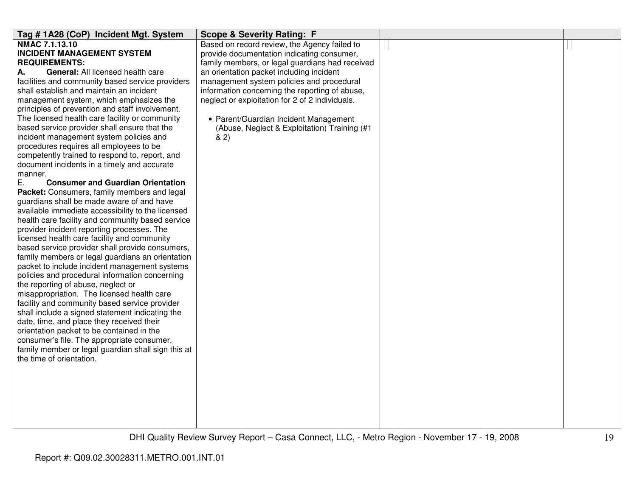| Tag # 1A28 (CoP) Incident Mgt. System                                                           | <b>Scope &amp; Severity Rating: F</b>           |  |
|-------------------------------------------------------------------------------------------------|-------------------------------------------------|--|
| NMAC 7.1.13.10                                                                                  | Based on record review, the Agency failed to    |  |
| <b>INCIDENT MANAGEMENT SYSTEM</b>                                                               | provide documentation indicating consumer,      |  |
| <b>REQUIREMENTS:</b>                                                                            | family members, or legal guardians had received |  |
| <b>General: All licensed health care</b><br>А.                                                  | an orientation packet including incident        |  |
| facilities and community based service providers                                                | management system policies and procedural       |  |
| shall establish and maintain an incident                                                        | information concerning the reporting of abuse,  |  |
| management system, which emphasizes the                                                         | neglect or exploitation for 2 of 2 individuals. |  |
| principles of prevention and staff involvement.                                                 |                                                 |  |
| The licensed health care facility or community                                                  | • Parent/Guardian Incident Management           |  |
| based service provider shall ensure that the                                                    | (Abuse, Neglect & Exploitation) Training (#1    |  |
| incident management system policies and                                                         | 8(2)                                            |  |
| procedures requires all employees to be                                                         |                                                 |  |
| competently trained to respond to, report, and                                                  |                                                 |  |
| document incidents in a timely and accurate                                                     |                                                 |  |
| manner.                                                                                         |                                                 |  |
| <b>Consumer and Guardian Orientation</b><br>Е.                                                  |                                                 |  |
| Packet: Consumers, family members and legal                                                     |                                                 |  |
| guardians shall be made aware of and have                                                       |                                                 |  |
| available immediate accessibility to the licensed                                               |                                                 |  |
| health care facility and community based service                                                |                                                 |  |
| provider incident reporting processes. The                                                      |                                                 |  |
| licensed health care facility and community                                                     |                                                 |  |
| based service provider shall provide consumers,                                                 |                                                 |  |
| family members or legal guardians an orientation                                                |                                                 |  |
| packet to include incident management systems<br>policies and procedural information concerning |                                                 |  |
| the reporting of abuse, neglect or                                                              |                                                 |  |
| misappropriation. The licensed health care                                                      |                                                 |  |
| facility and community based service provider                                                   |                                                 |  |
| shall include a signed statement indicating the                                                 |                                                 |  |
| date, time, and place they received their                                                       |                                                 |  |
| orientation packet to be contained in the                                                       |                                                 |  |
| consumer's file. The appropriate consumer,                                                      |                                                 |  |
| family member or legal guardian shall sign this at                                              |                                                 |  |
| the time of orientation.                                                                        |                                                 |  |
|                                                                                                 |                                                 |  |
|                                                                                                 |                                                 |  |
|                                                                                                 |                                                 |  |
|                                                                                                 |                                                 |  |
|                                                                                                 |                                                 |  |
|                                                                                                 |                                                 |  |
|                                                                                                 |                                                 |  |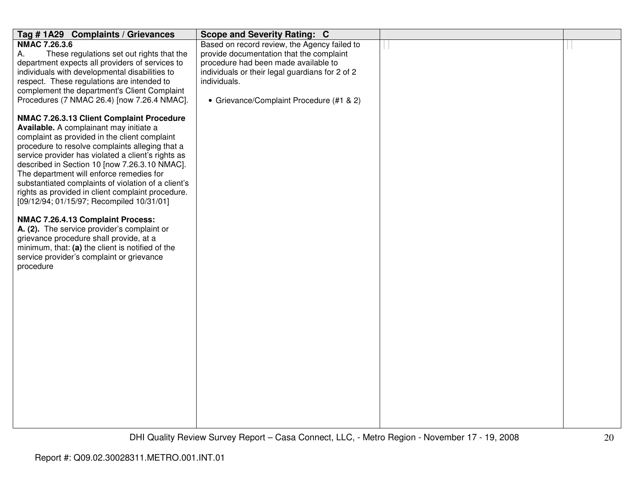| Tag #1A29 Complaints / Grievances                                                               | <b>Scope and Severity Rating: C</b>                             |  |
|-------------------------------------------------------------------------------------------------|-----------------------------------------------------------------|--|
| <b>NMAC 7.26.3.6</b>                                                                            | Based on record review, the Agency failed to                    |  |
| Α.<br>These regulations set out rights that the                                                 | provide documentation that the complaint                        |  |
| department expects all providers of services to                                                 | procedure had been made available to                            |  |
| individuals with developmental disabilities to                                                  | individuals or their legal guardians for 2 of 2<br>individuals. |  |
| respect. These regulations are intended to<br>complement the department's Client Complaint      |                                                                 |  |
| Procedures (7 NMAC 26.4) [now 7.26.4 NMAC].                                                     | • Grievance/Complaint Procedure (#1 & 2)                        |  |
|                                                                                                 |                                                                 |  |
| NMAC 7.26.3.13 Client Complaint Procedure                                                       |                                                                 |  |
| Available. A complainant may initiate a                                                         |                                                                 |  |
| complaint as provided in the client complaint                                                   |                                                                 |  |
| procedure to resolve complaints alleging that a                                                 |                                                                 |  |
| service provider has violated a client's rights as                                              |                                                                 |  |
| described in Section 10 [now 7.26.3.10 NMAC].                                                   |                                                                 |  |
| The department will enforce remedies for<br>substantiated complaints of violation of a client's |                                                                 |  |
| rights as provided in client complaint procedure.                                               |                                                                 |  |
| [09/12/94; 01/15/97; Recompiled 10/31/01]                                                       |                                                                 |  |
|                                                                                                 |                                                                 |  |
| NMAC 7.26.4.13 Complaint Process:                                                               |                                                                 |  |
| A. (2). The service provider's complaint or                                                     |                                                                 |  |
| grievance procedure shall provide, at a                                                         |                                                                 |  |
| minimum, that: (a) the client is notified of the                                                |                                                                 |  |
| service provider's complaint or grievance                                                       |                                                                 |  |
| procedure                                                                                       |                                                                 |  |
|                                                                                                 |                                                                 |  |
|                                                                                                 |                                                                 |  |
|                                                                                                 |                                                                 |  |
|                                                                                                 |                                                                 |  |
|                                                                                                 |                                                                 |  |
|                                                                                                 |                                                                 |  |
|                                                                                                 |                                                                 |  |
|                                                                                                 |                                                                 |  |
|                                                                                                 |                                                                 |  |
|                                                                                                 |                                                                 |  |
|                                                                                                 |                                                                 |  |
|                                                                                                 |                                                                 |  |
|                                                                                                 |                                                                 |  |
|                                                                                                 |                                                                 |  |
|                                                                                                 |                                                                 |  |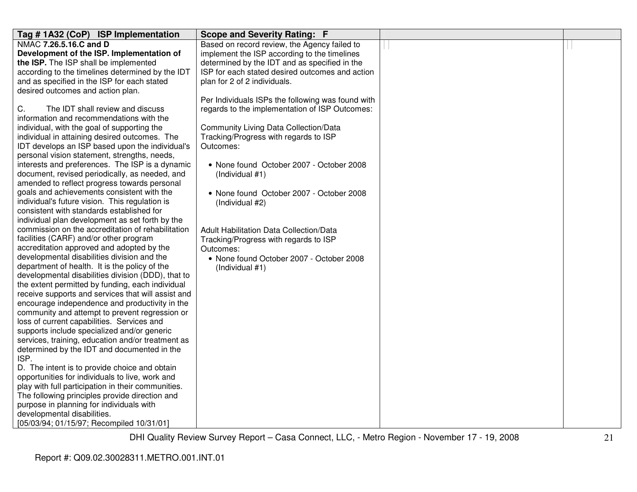| Tag #1A32 (CoP) ISP Implementation                 | <b>Scope and Severity Rating: F</b>               |  |
|----------------------------------------------------|---------------------------------------------------|--|
| NMAC 7.26.5.16.C and D                             | Based on record review, the Agency failed to      |  |
| Development of the ISP. Implementation of          | implement the ISP according to the timelines      |  |
| the ISP. The ISP shall be implemented              | determined by the IDT and as specified in the     |  |
| according to the timelines determined by the IDT   | ISP for each stated desired outcomes and action   |  |
| and as specified in the ISP for each stated        | plan for 2 of 2 individuals.                      |  |
| desired outcomes and action plan.                  |                                                   |  |
|                                                    | Per Individuals ISPs the following was found with |  |
| C.<br>The IDT shall review and discuss             | regards to the implementation of ISP Outcomes:    |  |
| information and recommendations with the           |                                                   |  |
| individual, with the goal of supporting the        | <b>Community Living Data Collection/Data</b>      |  |
| individual in attaining desired outcomes. The      | Tracking/Progress with regards to ISP             |  |
| IDT develops an ISP based upon the individual's    | Outcomes:                                         |  |
| personal vision statement, strengths, needs,       |                                                   |  |
| interests and preferences. The ISP is a dynamic    | • None found October 2007 - October 2008          |  |
| document, revised periodically, as needed, and     | (Individual #1)                                   |  |
| amended to reflect progress towards personal       |                                                   |  |
| goals and achievements consistent with the         | • None found October 2007 - October 2008          |  |
| individual's future vision. This regulation is     | (Individual #2)                                   |  |
| consistent with standards established for          |                                                   |  |
| individual plan development as set forth by the    |                                                   |  |
| commission on the accreditation of rehabilitation  | <b>Adult Habilitation Data Collection/Data</b>    |  |
| facilities (CARF) and/or other program             | Tracking/Progress with regards to ISP             |  |
| accreditation approved and adopted by the          | Outcomes:                                         |  |
| developmental disabilities division and the        | • None found October 2007 - October 2008          |  |
| department of health. It is the policy of the      | (Individual #1)                                   |  |
| developmental disabilities division (DDD), that to |                                                   |  |
| the extent permitted by funding, each individual   |                                                   |  |
| receive supports and services that will assist and |                                                   |  |
| encourage independence and productivity in the     |                                                   |  |
| community and attempt to prevent regression or     |                                                   |  |
| loss of current capabilities. Services and         |                                                   |  |
| supports include specialized and/or generic        |                                                   |  |
| services, training, education and/or treatment as  |                                                   |  |
| determined by the IDT and documented in the        |                                                   |  |
| ISP.                                               |                                                   |  |
| D. The intent is to provide choice and obtain      |                                                   |  |
| opportunities for individuals to live, work and    |                                                   |  |
| play with full participation in their communities. |                                                   |  |
| The following principles provide direction and     |                                                   |  |
| purpose in planning for individuals with           |                                                   |  |
| developmental disabilities.                        |                                                   |  |
| [05/03/94; 01/15/97; Recompiled 10/31/01]          |                                                   |  |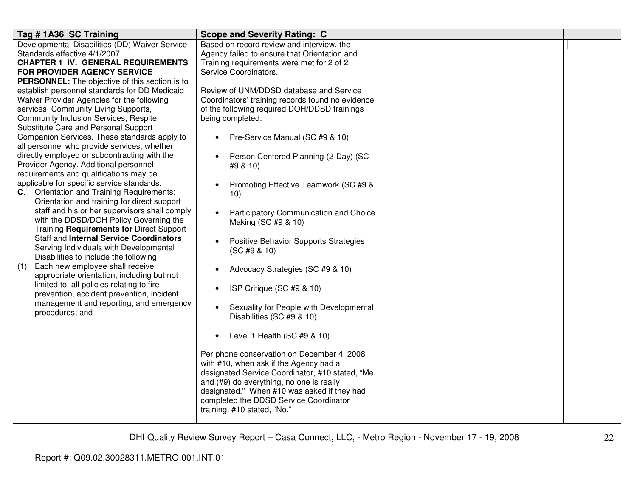| Tag #1A36 SC Training                                                                                                                                                                                                                                                                                                                                                                                                                                                                                                                                                                                                                                                                                                                                                                                                                                                                                                                                                                                                                                                                                                                                                            | <b>Scope and Severity Rating: C</b>                                                                                                                                                                                                                                                                                                                                                                                                                                                                                                                                                                                                                                                                                                                                                                                                                                                                                                               |  |
|----------------------------------------------------------------------------------------------------------------------------------------------------------------------------------------------------------------------------------------------------------------------------------------------------------------------------------------------------------------------------------------------------------------------------------------------------------------------------------------------------------------------------------------------------------------------------------------------------------------------------------------------------------------------------------------------------------------------------------------------------------------------------------------------------------------------------------------------------------------------------------------------------------------------------------------------------------------------------------------------------------------------------------------------------------------------------------------------------------------------------------------------------------------------------------|---------------------------------------------------------------------------------------------------------------------------------------------------------------------------------------------------------------------------------------------------------------------------------------------------------------------------------------------------------------------------------------------------------------------------------------------------------------------------------------------------------------------------------------------------------------------------------------------------------------------------------------------------------------------------------------------------------------------------------------------------------------------------------------------------------------------------------------------------------------------------------------------------------------------------------------------------|--|
| Developmental Disabilities (DD) Waiver Service<br>Standards effective 4/1/2007                                                                                                                                                                                                                                                                                                                                                                                                                                                                                                                                                                                                                                                                                                                                                                                                                                                                                                                                                                                                                                                                                                   | Based on record review and interview, the<br>Agency failed to ensure that Orientation and                                                                                                                                                                                                                                                                                                                                                                                                                                                                                                                                                                                                                                                                                                                                                                                                                                                         |  |
| <b>CHAPTER 1 IV. GENERAL REQUIREMENTS</b><br>FOR PROVIDER AGENCY SERVICE                                                                                                                                                                                                                                                                                                                                                                                                                                                                                                                                                                                                                                                                                                                                                                                                                                                                                                                                                                                                                                                                                                         | Training requirements were met for 2 of 2<br>Service Coordinators.                                                                                                                                                                                                                                                                                                                                                                                                                                                                                                                                                                                                                                                                                                                                                                                                                                                                                |  |
| PERSONNEL: The objective of this section is to<br>establish personnel standards for DD Medicaid<br>Waiver Provider Agencies for the following<br>services: Community Living Supports,<br>Community Inclusion Services, Respite,<br>Substitute Care and Personal Support<br>Companion Services. These standards apply to<br>all personnel who provide services, whether<br>directly employed or subcontracting with the<br>Provider Agency. Additional personnel<br>requirements and qualifications may be<br>applicable for specific service standards.<br>C. Orientation and Training Requirements:<br>Orientation and training for direct support<br>staff and his or her supervisors shall comply<br>with the DDSD/DOH Policy Governing the<br>Training Requirements for Direct Support<br><b>Staff and Internal Service Coordinators</b><br>Serving Individuals with Developmental<br>Disabilities to include the following:<br>Each new employee shall receive<br>(1)<br>appropriate orientation, including but not<br>limited to, all policies relating to fire<br>prevention, accident prevention, incident<br>management and reporting, and emergency<br>procedures; and | Review of UNM/DDSD database and Service<br>Coordinators' training records found no evidence<br>of the following required DOH/DDSD trainings<br>being completed:<br>Pre-Service Manual (SC #9 & 10)<br>Person Centered Planning (2-Day) (SC<br>$\bullet$<br>#9 & 10)<br>Promoting Effective Teamwork (SC #9 &<br>10)<br>Participatory Communication and Choice<br>Making (SC #9 & 10)<br>Positive Behavior Supports Strategies<br>(SC #9 & 10)<br>Advocacy Strategies (SC #9 & 10)<br>ISP Critique (SC #9 & 10)<br>Sexuality for People with Developmental<br>Disabilities (SC #9 & 10)<br>Level 1 Health (SC #9 & 10)<br>$\bullet$<br>Per phone conservation on December 4, 2008<br>with #10, when ask if the Agency had a<br>designated Service Coordinator, #10 stated, "Me<br>and (#9) do everything, no one is really<br>designated." When #10 was asked if they had<br>completed the DDSD Service Coordinator<br>training, #10 stated, "No." |  |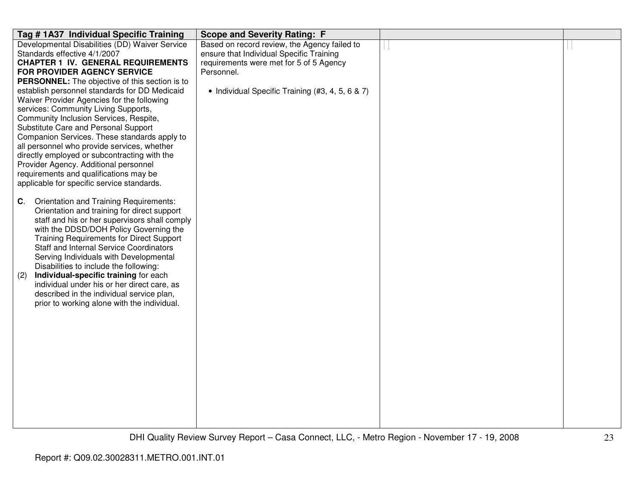| Tag # 1A37 Individual Specific Training                                                     | <b>Scope and Severity Rating: F</b>              |  |
|---------------------------------------------------------------------------------------------|--------------------------------------------------|--|
| Developmental Disabilities (DD) Waiver Service                                              | Based on record review, the Agency failed to     |  |
| Standards effective 4/1/2007                                                                | ensure that Individual Specific Training         |  |
| <b>CHAPTER 1 IV. GENERAL REQUIREMENTS</b>                                                   | requirements were met for 5 of 5 Agency          |  |
| FOR PROVIDER AGENCY SERVICE                                                                 | Personnel.                                       |  |
| <b>PERSONNEL:</b> The objective of this section is to                                       |                                                  |  |
| establish personnel standards for DD Medicaid                                               | • Individual Specific Training (#3, 4, 5, 6 & 7) |  |
| Waiver Provider Agencies for the following                                                  |                                                  |  |
| services: Community Living Supports,                                                        |                                                  |  |
| Community Inclusion Services, Respite,                                                      |                                                  |  |
| Substitute Care and Personal Support                                                        |                                                  |  |
| Companion Services. These standards apply to<br>all personnel who provide services, whether |                                                  |  |
| directly employed or subcontracting with the                                                |                                                  |  |
| Provider Agency. Additional personnel                                                       |                                                  |  |
| requirements and qualifications may be                                                      |                                                  |  |
| applicable for specific service standards.                                                  |                                                  |  |
|                                                                                             |                                                  |  |
| Orientation and Training Requirements:<br>C.                                                |                                                  |  |
| Orientation and training for direct support                                                 |                                                  |  |
| staff and his or her supervisors shall comply                                               |                                                  |  |
| with the DDSD/DOH Policy Governing the                                                      |                                                  |  |
| <b>Training Requirements for Direct Support</b>                                             |                                                  |  |
| <b>Staff and Internal Service Coordinators</b>                                              |                                                  |  |
| Serving Individuals with Developmental                                                      |                                                  |  |
| Disabilities to include the following:                                                      |                                                  |  |
| Individual-specific training for each<br>(2)                                                |                                                  |  |
| individual under his or her direct care, as                                                 |                                                  |  |
| described in the individual service plan,                                                   |                                                  |  |
| prior to working alone with the individual.                                                 |                                                  |  |
|                                                                                             |                                                  |  |
|                                                                                             |                                                  |  |
|                                                                                             |                                                  |  |
|                                                                                             |                                                  |  |
|                                                                                             |                                                  |  |
|                                                                                             |                                                  |  |
|                                                                                             |                                                  |  |
|                                                                                             |                                                  |  |
|                                                                                             |                                                  |  |
|                                                                                             |                                                  |  |
|                                                                                             |                                                  |  |
|                                                                                             |                                                  |  |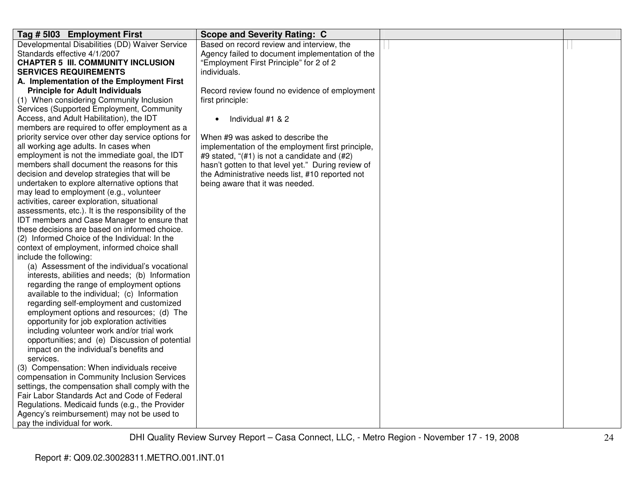| Tag # 5103 Employment First                         | <b>Scope and Severity Rating: C</b>                |  |
|-----------------------------------------------------|----------------------------------------------------|--|
| Developmental Disabilities (DD) Waiver Service      | Based on record review and interview, the          |  |
| Standards effective 4/1/2007                        | Agency failed to document implementation of the    |  |
| <b>CHAPTER 5 III. COMMUNITY INCLUSION</b>           | "Employment First Principle" for 2 of 2            |  |
| <b>SERVICES REQUIREMENTS</b>                        | individuals.                                       |  |
| A. Implementation of the Employment First           |                                                    |  |
| <b>Principle for Adult Individuals</b>              | Record review found no evidence of employment      |  |
| (1) When considering Community Inclusion            | first principle:                                   |  |
| Services (Supported Employment, Community           |                                                    |  |
| Access, and Adult Habilitation), the IDT            | Individual #1 & 2<br>$\bullet$                     |  |
| members are required to offer employment as a       |                                                    |  |
| priority service over other day service options for | When #9 was asked to describe the                  |  |
| all working age adults. In cases when               | implementation of the employment first principle,  |  |
| employment is not the immediate goal, the IDT       | #9 stated, "(#1) is not a candidate and (#2)       |  |
| members shall document the reasons for this         | hasn't gotten to that level yet." During review of |  |
| decision and develop strategies that will be        | the Administrative needs list, #10 reported not    |  |
| undertaken to explore alternative options that      | being aware that it was needed.                    |  |
| may lead to employment (e.g., volunteer             |                                                    |  |
| activities, career exploration, situational         |                                                    |  |
| assessments, etc.). It is the responsibility of the |                                                    |  |
| IDT members and Case Manager to ensure that         |                                                    |  |
| these decisions are based on informed choice.       |                                                    |  |
| (2) Informed Choice of the Individual: In the       |                                                    |  |
| context of employment, informed choice shall        |                                                    |  |
| include the following:                              |                                                    |  |
| (a) Assessment of the individual's vocational       |                                                    |  |
|                                                     |                                                    |  |
| interests, abilities and needs; (b) Information     |                                                    |  |
| regarding the range of employment options           |                                                    |  |
| available to the individual; (c) Information        |                                                    |  |
| regarding self-employment and customized            |                                                    |  |
| employment options and resources; (d) The           |                                                    |  |
| opportunity for job exploration activities          |                                                    |  |
| including volunteer work and/or trial work          |                                                    |  |
| opportunities; and (e) Discussion of potential      |                                                    |  |
| impact on the individual's benefits and             |                                                    |  |
| services.                                           |                                                    |  |
| (3) Compensation: When individuals receive          |                                                    |  |
| compensation in Community Inclusion Services        |                                                    |  |
| settings, the compensation shall comply with the    |                                                    |  |
| Fair Labor Standards Act and Code of Federal        |                                                    |  |
| Regulations. Medicaid funds (e.g., the Provider     |                                                    |  |
| Agency's reimbursement) may not be used to          |                                                    |  |
| pay the individual for work.                        |                                                    |  |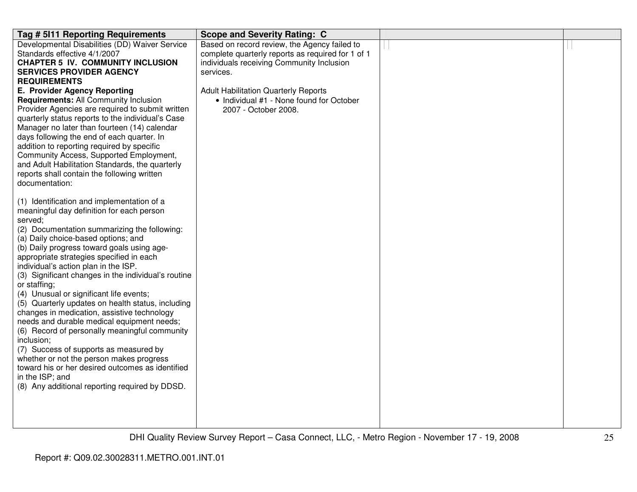| Tag # 5111 Reporting Requirements                                                         | <b>Scope and Severity Rating: C</b>                              |  |
|-------------------------------------------------------------------------------------------|------------------------------------------------------------------|--|
| Developmental Disabilities (DD) Waiver Service                                            | Based on record review, the Agency failed to                     |  |
| Standards effective 4/1/2007                                                              | complete quarterly reports as required for 1 of 1                |  |
| <b>CHAPTER 5 IV. COMMUNITY INCLUSION</b>                                                  | individuals receiving Community Inclusion                        |  |
| <b>SERVICES PROVIDER AGENCY</b>                                                           | services.                                                        |  |
| <b>REQUIREMENTS</b>                                                                       |                                                                  |  |
| <b>E. Provider Agency Reporting</b>                                                       | <b>Adult Habilitation Quarterly Reports</b>                      |  |
| Requirements: All Community Inclusion<br>Provider Agencies are required to submit written | • Individual #1 - None found for October<br>2007 - October 2008. |  |
| quarterly status reports to the individual's Case                                         |                                                                  |  |
| Manager no later than fourteen (14) calendar                                              |                                                                  |  |
| days following the end of each quarter. In                                                |                                                                  |  |
| addition to reporting required by specific                                                |                                                                  |  |
| Community Access, Supported Employment,                                                   |                                                                  |  |
| and Adult Habilitation Standards, the quarterly                                           |                                                                  |  |
| reports shall contain the following written                                               |                                                                  |  |
| documentation:                                                                            |                                                                  |  |
|                                                                                           |                                                                  |  |
| (1) Identification and implementation of a                                                |                                                                  |  |
| meaningful day definition for each person                                                 |                                                                  |  |
| served;<br>(2) Documentation summarizing the following:                                   |                                                                  |  |
| (a) Daily choice-based options; and                                                       |                                                                  |  |
| (b) Daily progress toward goals using age-                                                |                                                                  |  |
| appropriate strategies specified in each                                                  |                                                                  |  |
| individual's action plan in the ISP.                                                      |                                                                  |  |
| (3) Significant changes in the individual's routine                                       |                                                                  |  |
| or staffing;                                                                              |                                                                  |  |
| (4) Unusual or significant life events;                                                   |                                                                  |  |
| (5) Quarterly updates on health status, including                                         |                                                                  |  |
| changes in medication, assistive technology                                               |                                                                  |  |
| needs and durable medical equipment needs;                                                |                                                                  |  |
| (6) Record of personally meaningful community                                             |                                                                  |  |
| inclusion;                                                                                |                                                                  |  |
| (7) Success of supports as measured by<br>whether or not the person makes progress        |                                                                  |  |
| toward his or her desired outcomes as identified                                          |                                                                  |  |
| in the ISP; and                                                                           |                                                                  |  |
| (8) Any additional reporting required by DDSD.                                            |                                                                  |  |
|                                                                                           |                                                                  |  |
|                                                                                           |                                                                  |  |
|                                                                                           |                                                                  |  |
|                                                                                           |                                                                  |  |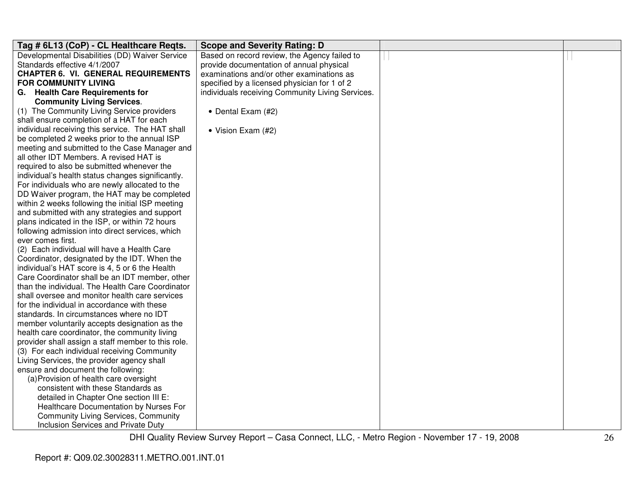| Tag # 6L13 (CoP) - CL Healthcare Regts.            | <b>Scope and Severity Rating: D</b>              |  |
|----------------------------------------------------|--------------------------------------------------|--|
| Developmental Disabilities (DD) Waiver Service     | Based on record review, the Agency failed to     |  |
| Standards effective 4/1/2007                       | provide documentation of annual physical         |  |
| <b>CHAPTER 6. VI. GENERAL REQUIREMENTS</b>         | examinations and/or other examinations as        |  |
| <b>FOR COMMUNITY LIVING</b>                        | specified by a licensed physician for 1 of 2     |  |
| G. Health Care Requirements for                    | individuals receiving Community Living Services. |  |
| <b>Community Living Services.</b>                  |                                                  |  |
| (1) The Community Living Service providers         | • Dental Exam (#2)                               |  |
| shall ensure completion of a HAT for each          |                                                  |  |
| individual receiving this service. The HAT shall   | • Vision Exam (#2)                               |  |
| be completed 2 weeks prior to the annual ISP       |                                                  |  |
| meeting and submitted to the Case Manager and      |                                                  |  |
| all other IDT Members. A revised HAT is            |                                                  |  |
| required to also be submitted whenever the         |                                                  |  |
| individual's health status changes significantly.  |                                                  |  |
| For individuals who are newly allocated to the     |                                                  |  |
| DD Waiver program, the HAT may be completed        |                                                  |  |
| within 2 weeks following the initial ISP meeting   |                                                  |  |
| and submitted with any strategies and support      |                                                  |  |
| plans indicated in the ISP, or within 72 hours     |                                                  |  |
| following admission into direct services, which    |                                                  |  |
| ever comes first.                                  |                                                  |  |
| (2) Each individual will have a Health Care        |                                                  |  |
| Coordinator, designated by the IDT. When the       |                                                  |  |
| individual's HAT score is 4, 5 or 6 the Health     |                                                  |  |
| Care Coordinator shall be an IDT member, other     |                                                  |  |
| than the individual. The Health Care Coordinator   |                                                  |  |
| shall oversee and monitor health care services     |                                                  |  |
| for the individual in accordance with these        |                                                  |  |
| standards. In circumstances where no IDT           |                                                  |  |
| member voluntarily accepts designation as the      |                                                  |  |
| health care coordinator, the community living      |                                                  |  |
| provider shall assign a staff member to this role. |                                                  |  |
| (3) For each individual receiving Community        |                                                  |  |
| Living Services, the provider agency shall         |                                                  |  |
| ensure and document the following:                 |                                                  |  |
| (a) Provision of health care oversight             |                                                  |  |
| consistent with these Standards as                 |                                                  |  |
| detailed in Chapter One section III E:             |                                                  |  |
| Healthcare Documentation by Nurses For             |                                                  |  |
| <b>Community Living Services, Community</b>        |                                                  |  |
| Inclusion Services and Private Duty                |                                                  |  |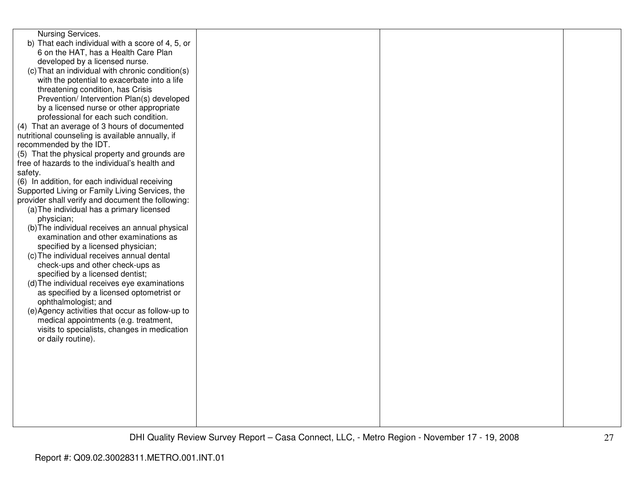| Nursing Services.<br>b) That each individual with a score of 4, 5, or                                |  |  |
|------------------------------------------------------------------------------------------------------|--|--|
| 6 on the HAT, has a Health Care Plan                                                                 |  |  |
| developed by a licensed nurse.                                                                       |  |  |
| (c) That an individual with chronic condition(s)                                                     |  |  |
| with the potential to exacerbate into a life                                                         |  |  |
| threatening condition, has Crisis                                                                    |  |  |
| Prevention/ Intervention Plan(s) developed                                                           |  |  |
| by a licensed nurse or other appropriate                                                             |  |  |
| professional for each such condition.                                                                |  |  |
| (4) That an average of 3 hours of documented                                                         |  |  |
| nutritional counseling is available annually, if                                                     |  |  |
| recommended by the IDT.                                                                              |  |  |
| (5) That the physical property and grounds are                                                       |  |  |
| free of hazards to the individual's health and                                                       |  |  |
| safety.                                                                                              |  |  |
| (6) In addition, for each individual receiving                                                       |  |  |
| Supported Living or Family Living Services, the<br>provider shall verify and document the following: |  |  |
| (a) The individual has a primary licensed                                                            |  |  |
| physician;                                                                                           |  |  |
| (b) The individual receives an annual physical                                                       |  |  |
| examination and other examinations as                                                                |  |  |
| specified by a licensed physician;                                                                   |  |  |
| (c) The individual receives annual dental                                                            |  |  |
| check-ups and other check-ups as                                                                     |  |  |
| specified by a licensed dentist;                                                                     |  |  |
| (d) The individual receives eye examinations                                                         |  |  |
| as specified by a licensed optometrist or                                                            |  |  |
| ophthalmologist; and                                                                                 |  |  |
| (e) Agency activities that occur as follow-up to                                                     |  |  |
| medical appointments (e.g. treatment,                                                                |  |  |
| visits to specialists, changes in medication                                                         |  |  |
| or daily routine).                                                                                   |  |  |
|                                                                                                      |  |  |
|                                                                                                      |  |  |
|                                                                                                      |  |  |
|                                                                                                      |  |  |
|                                                                                                      |  |  |
|                                                                                                      |  |  |
|                                                                                                      |  |  |
|                                                                                                      |  |  |
|                                                                                                      |  |  |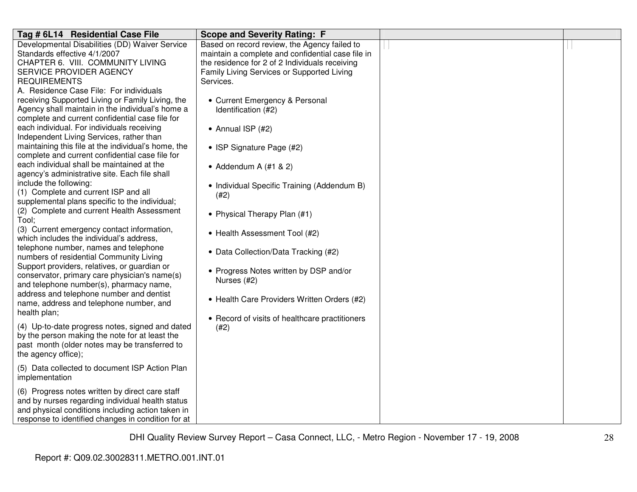| Tag # 6L14 Residential Case File                                                                                                                                                                               | <b>Scope and Severity Rating: F</b>                                                                                                                 |  |
|----------------------------------------------------------------------------------------------------------------------------------------------------------------------------------------------------------------|-----------------------------------------------------------------------------------------------------------------------------------------------------|--|
| Developmental Disabilities (DD) Waiver Service<br>Standards effective 4/1/2007<br>CHAPTER 6. VIII. COMMUNITY LIVING                                                                                            | Based on record review, the Agency failed to<br>maintain a complete and confidential case file in<br>the residence for 2 of 2 Individuals receiving |  |
| SERVICE PROVIDER AGENCY<br><b>REQUIREMENTS</b><br>A. Residence Case File: For individuals                                                                                                                      | Family Living Services or Supported Living<br>Services.                                                                                             |  |
| receiving Supported Living or Family Living, the<br>Agency shall maintain in the individual's home a<br>complete and current confidential case file for                                                        | • Current Emergency & Personal<br>Identification (#2)                                                                                               |  |
| each individual. For individuals receiving<br>Independent Living Services, rather than                                                                                                                         | • Annual ISP (#2)                                                                                                                                   |  |
| maintaining this file at the individual's home, the<br>complete and current confidential case file for                                                                                                         | • ISP Signature Page (#2)                                                                                                                           |  |
| each individual shall be maintained at the<br>agency's administrative site. Each file shall<br>include the following:                                                                                          | • Addendum A $(#1 & 2)$                                                                                                                             |  |
| (1) Complete and current ISP and all<br>supplemental plans specific to the individual;                                                                                                                         | • Individual Specific Training (Addendum B)<br>(#2)                                                                                                 |  |
| (2) Complete and current Health Assessment<br>Tool:                                                                                                                                                            | • Physical Therapy Plan (#1)                                                                                                                        |  |
| (3) Current emergency contact information,<br>which includes the individual's address,<br>telephone number, names and telephone                                                                                | • Health Assessment Tool (#2)                                                                                                                       |  |
| numbers of residential Community Living<br>Support providers, relatives, or guardian or                                                                                                                        | • Data Collection/Data Tracking (#2)                                                                                                                |  |
| conservator, primary care physician's name(s)<br>and telephone number(s), pharmacy name,                                                                                                                       | • Progress Notes written by DSP and/or<br>Nurses (#2)                                                                                               |  |
| address and telephone number and dentist<br>name, address and telephone number, and<br>health plan;                                                                                                            | • Health Care Providers Written Orders (#2)                                                                                                         |  |
| (4) Up-to-date progress notes, signed and dated<br>by the person making the note for at least the<br>past month (older notes may be transferred to<br>the agency office);                                      | • Record of visits of healthcare practitioners<br>(#2)                                                                                              |  |
| (5) Data collected to document ISP Action Plan<br>implementation                                                                                                                                               |                                                                                                                                                     |  |
| (6) Progress notes written by direct care staff<br>and by nurses regarding individual health status<br>and physical conditions including action taken in<br>response to identified changes in condition for at |                                                                                                                                                     |  |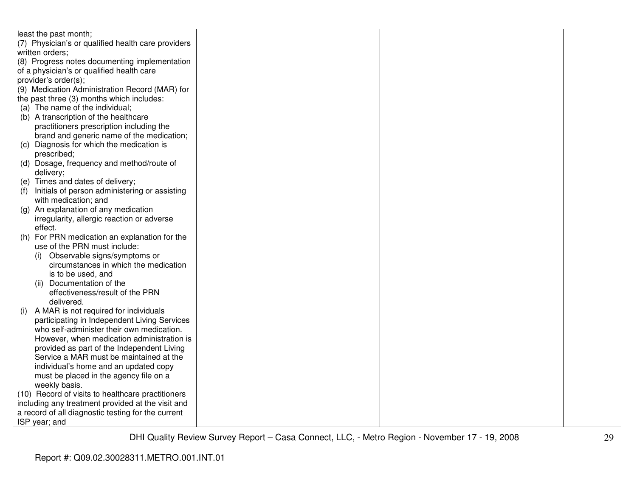| least the past month;                                                 |  |  |
|-----------------------------------------------------------------------|--|--|
| (7) Physician's or qualified health care providers                    |  |  |
| written orders;                                                       |  |  |
| (8) Progress notes documenting implementation                         |  |  |
| of a physician's or qualified health care                             |  |  |
| provider's order(s);                                                  |  |  |
| (9) Medication Administration Record (MAR) for                        |  |  |
| the past three (3) months which includes:                             |  |  |
| (a) The name of the individual;                                       |  |  |
| (b) A transcription of the healthcare                                 |  |  |
| practitioners prescription including the                              |  |  |
| brand and generic name of the medication;                             |  |  |
| (c) Diagnosis for which the medication is                             |  |  |
| prescribed;                                                           |  |  |
| (d) Dosage, frequency and method/route of                             |  |  |
| delivery;                                                             |  |  |
| (e) Times and dates of delivery;                                      |  |  |
|                                                                       |  |  |
| Initials of person administering or assisting<br>with medication; and |  |  |
|                                                                       |  |  |
| An explanation of any medication<br>(a)                               |  |  |
| irregularity, allergic reaction or adverse<br>effect.                 |  |  |
| For PRN medication an explanation for the<br>(h)                      |  |  |
|                                                                       |  |  |
| use of the PRN must include:                                          |  |  |
| Observable signs/symptoms or<br>(i)                                   |  |  |
| circumstances in which the medication                                 |  |  |
| is to be used, and                                                    |  |  |
| Documentation of the<br>(ii)                                          |  |  |
| effectiveness/result of the PRN                                       |  |  |
| delivered.                                                            |  |  |
| A MAR is not required for individuals<br>(i)                          |  |  |
| participating in Independent Living Services                          |  |  |
| who self-administer their own medication.                             |  |  |
| However, when medication administration is                            |  |  |
| provided as part of the Independent Living                            |  |  |
| Service a MAR must be maintained at the                               |  |  |
| individual's home and an updated copy                                 |  |  |
| must be placed in the agency file on a                                |  |  |
| weekly basis.                                                         |  |  |
| (10) Record of visits to healthcare practitioners                     |  |  |
| including any treatment provided at the visit and                     |  |  |
| a record of all diagnostic testing for the current                    |  |  |
| ISP year; and                                                         |  |  |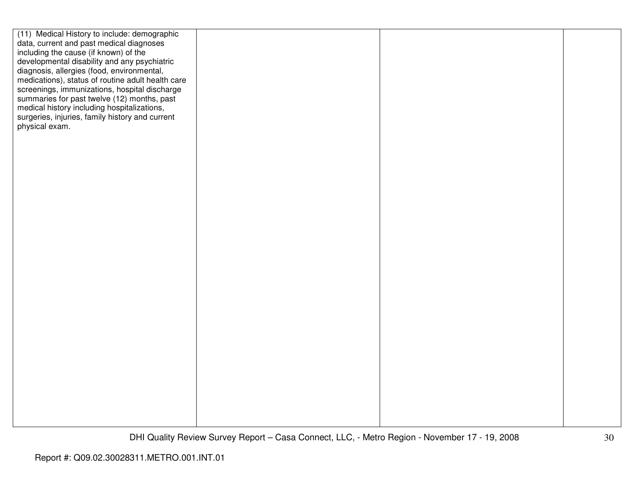| (11) Medical History to include: demographic      |  |  |
|---------------------------------------------------|--|--|
| data, current and past medical diagnoses          |  |  |
| including the cause (if known) of the             |  |  |
| developmental disability and any psychiatric      |  |  |
| diagnosis, allergies (food, environmental,        |  |  |
| medications), status of routine adult health care |  |  |
|                                                   |  |  |
| screenings, immunizations, hospital discharge     |  |  |
| summaries for past twelve (12) months, past       |  |  |
| medical history including hospitalizations,       |  |  |
| surgeries, injuries, family history and current   |  |  |
| physical exam.                                    |  |  |
|                                                   |  |  |
|                                                   |  |  |
|                                                   |  |  |
|                                                   |  |  |
|                                                   |  |  |
|                                                   |  |  |
|                                                   |  |  |
|                                                   |  |  |
|                                                   |  |  |
|                                                   |  |  |
|                                                   |  |  |
|                                                   |  |  |
|                                                   |  |  |
|                                                   |  |  |
|                                                   |  |  |
|                                                   |  |  |
|                                                   |  |  |
|                                                   |  |  |
|                                                   |  |  |
|                                                   |  |  |
|                                                   |  |  |
|                                                   |  |  |
|                                                   |  |  |
|                                                   |  |  |
|                                                   |  |  |
|                                                   |  |  |
|                                                   |  |  |
|                                                   |  |  |
|                                                   |  |  |
|                                                   |  |  |
|                                                   |  |  |
|                                                   |  |  |
|                                                   |  |  |